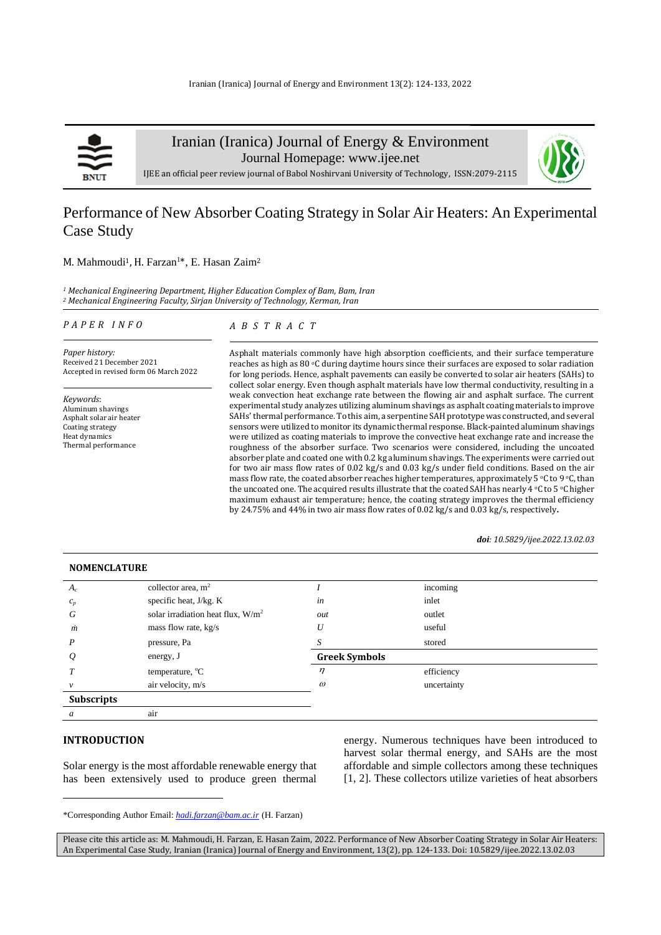

Iranian (Iranica) Journal of Energy & Environment

Journal Homepage: [www.ijee.net](http://www.ijee.net/)



IJEE an official peer review journal of Babol Noshirvani University of Technology, ISSN:2079-2115

# Performance of New Absorber Coating Strategy in Solar Air Heaters: An Experimental Case Study

# M. Mahmoudi<sup>1</sup>, H. Farzan<sup>1\*</sup>, E. Hasan Zaim<sup>2</sup>

*<sup>1</sup> Mechanical Engineering Department, Higher Education Complex of Bam, Bam, Iran <sup>2</sup> Mechanical Engineering Faculty, Sirjan University of Technology, Kerman, Iran*

### *P A P E R I N F O*

# *A B S T R A C T*

*Paper history:* Received 21 December 2021 Accepted in revised form 06 March 2022

*Keywords*: Aluminum shavings Asphalt solar air heater Coating strategy Heat dynamics Thermal performance

Asphalt materials commonly have high absorption coefficients, and their surface temperature reaches as high as 80 °C during daytime hours since their surfaces are exposed to solar radiation for long periods. Hence, asphalt pavements can easily be converted to solar air heaters (SAHs) to collect solar energy. Even though asphalt materials have low thermal conductivity, resulting in a weak convection heat exchange rate between the flowing air and asphalt surface. The current experimental study analyzes utilizing aluminum shavings as asphalt coating materials to improve SAHs' thermal performance. To this aim, a serpentine SAH prototype was constructed, and several sensors were utilized to monitor its dynamic thermal response. Black-painted aluminum shavings were utilized as coating materials to improve the convective heat exchange rate and increase the roughness of the absorber surface. Two scenarios were considered, including the uncoated absorber plate and coated one with 0.2 kg aluminum shavings. The experiments were carried out for two air mass flow rates of 0.02 kg/s and 0.03 kg/s under field conditions. Based on the air mass flow rate, the coated absorber reaches higher temperatures, approximately 5  $\degree$ C to 9  $\degree$ C, than the uncoated one. The acquired results illustrate that the coated SAH has nearly 4 °C to 5 °C higher maximum exhaust air temperature; hence, the coating strategy improves the thermal efficiency by 24.75% and 44% in two air mass flow rates of 0.02 kg/s and 0.03 kg/s, respectively**.**

#### *doi: 10.5829/ijee.2022.13.02.03*

| <b>NOMENCLATURE</b> |                                      |                      |             |  |
|---------------------|--------------------------------------|----------------------|-------------|--|
| $A_c$               | collector area, $m2$                 |                      | incoming    |  |
| $c_p$               | specific heat, J/kg. K               | in                   | inlet       |  |
| G                   | solar irradiation heat flux, $W/m^2$ | out                  | outlet      |  |
| m                   | mass flow rate, kg/s                 | $\boldsymbol{U}$     | useful      |  |
| P                   | pressure, Pa                         |                      | stored      |  |
| $\varrho$           | energy, J                            | <b>Greek Symbols</b> |             |  |
|                     | temperature, $^{\circ}C$             | $\eta$               | efficiency  |  |
| $\mathcal V$        | air velocity, m/s                    | $\omega$             | uncertainty |  |
| <b>Subscripts</b>   |                                      |                      |             |  |
| a                   | air                                  |                      |             |  |

# **INTRODUCTION<sup>1</sup>**

Solar energy is the most affordable renewable energy that has been extensively used to produce green thermal

energy. Numerous techniques have been introduced to harvest solar thermal energy, and SAHs are the most affordable and simple collectors among these techniques [1, 2]. These collectors utilize varieties of heat absorbers

<sup>\*</sup>Corresponding Author Email: *[hadi.farzan@bam.ac.ir](mailto:hadi.farzan@bam.ac.ir)* (H. Farzan)

Please cite this article as: M. Mahmoudi, H. Farzan, E. Hasan Zaim, 2022. Performance of New Absorber Coating Strategy in Solar Air Heaters: An Experimental Case Study, Iranian (Iranica) Journal of Energy and Environment, 13(2), pp. 124-133. Doi: 10.5829/ijee.2022.13.02.03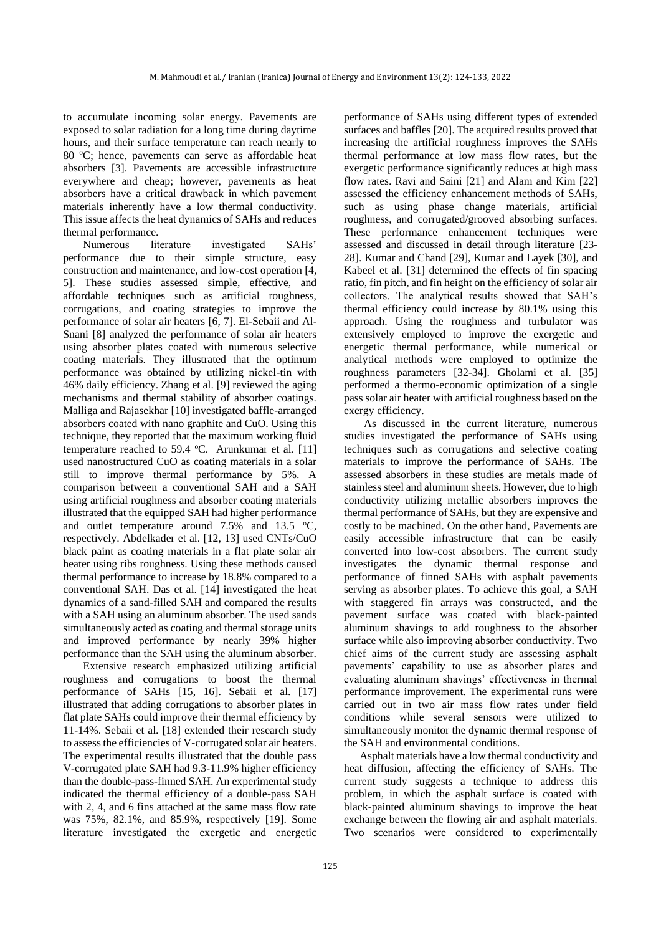to accumulate incoming solar energy. Pavements are exposed to solar radiation for a long time during daytime hours, and their surface temperature can reach nearly to 80 °C; hence, pavements can serve as affordable heat absorbers [3]. Pavements are accessible infrastructure everywhere and cheap; however, pavements as heat absorbers have a critical drawback in which pavement materials inherently have a low thermal conductivity. This issue affects the heat dynamics of SAHs and reduces thermal performance.

Numerous literature investigated SAHs' performance due to their simple structure, easy construction and maintenance, and low-cost operation [4, 5]. These studies assessed simple, effective, and affordable techniques such as artificial roughness, corrugations, and coating strategies to improve the performance of solar air heaters [6, 7]. El-Sebaii and Al-Snani [8] analyzed the performance of solar air heaters using absorber plates coated with numerous selective coating materials. They illustrated that the optimum performance was obtained by utilizing nickel-tin with 46% daily efficiency. Zhang et al. [9] reviewed the aging mechanisms and thermal stability of absorber coatings. Malliga and Rajasekhar [10] investigated baffle-arranged absorbers coated with nano graphite and CuO. Using this technique, they reported that the maximum working fluid temperature reached to 59.4  $^{\circ}$ C. Arunkumar et al. [11] used nanostructured CuO as coating materials in a solar still to improve thermal performance by 5%. A comparison between a conventional SAH and a SAH using artificial roughness and absorber coating materials illustrated that the equipped SAH had higher performance and outlet temperature around  $7.5\%$  and  $13.5 \degree$ C, respectively. Abdelkader et al. [12, 13] used CNTs/CuO black paint as coating materials in a flat plate solar air heater using ribs roughness. Using these methods caused thermal performance to increase by 18.8% compared to a conventional SAH. Das et al. [14] investigated the heat dynamics of a sand-filled SAH and compared the results with a SAH using an aluminum absorber. The used sands simultaneously acted as coating and thermal storage units and improved performance by nearly 39% higher performance than the SAH using the aluminum absorber.

Extensive research emphasized utilizing artificial roughness and corrugations to boost the thermal performance of SAHs [15, 16]. Sebaii et al. [17] illustrated that adding corrugations to absorber plates in flat plate SAHs could improve their thermal efficiency by 11-14%. Sebaii et al. [18] extended their research study to assess the efficiencies of V-corrugated solar air heaters. The experimental results illustrated that the double pass V-corrugated plate SAH had 9.3-11.9% higher efficiency than the double-pass-finned SAH. An experimental study indicated the thermal efficiency of a double-pass SAH with 2, 4, and 6 fins attached at the same mass flow rate was 75%, 82.1%, and 85.9%, respectively [19]. Some literature investigated the exergetic and energetic

performance of SAHs using different types of extended surfaces and baffles [20]. The acquired results proved that increasing the artificial roughness improves the SAHs thermal performance at low mass flow rates, but the exergetic performance significantly reduces at high mass flow rates. Ravi and Saini [21] and Alam and Kim [22] assessed the efficiency enhancement methods of SAHs, such as using phase change materials, artificial roughness, and corrugated/grooved absorbing surfaces. These performance enhancement techniques were assessed and discussed in detail through literature [23- 28]. Kumar and Chand [29], Kumar and Layek [30], and Kabeel et al. [31] determined the effects of fin spacing ratio, fin pitch, and fin height on the efficiency of solar air collectors. The analytical results showed that SAH's thermal efficiency could increase by 80.1% using this approach. Using the roughness and turbulator was extensively employed to improve the exergetic and energetic thermal performance, while numerical or analytical methods were employed to optimize the roughness parameters [32-34]. Gholami et al. [35] performed a thermo-economic optimization of a single pass solar air heater with artificial roughness based on the exergy efficiency.

As discussed in the current literature, numerous studies investigated the performance of SAHs using techniques such as corrugations and selective coating materials to improve the performance of SAHs. The assessed absorbers in these studies are metals made of stainless steel and aluminum sheets. However, due to high conductivity utilizing metallic absorbers improves the thermal performance of SAHs, but they are expensive and costly to be machined. On the other hand, Pavements are easily accessible infrastructure that can be easily converted into low-cost absorbers. The current study investigates the dynamic thermal response and performance of finned SAHs with asphalt pavements serving as absorber plates. To achieve this goal, a SAH with staggered fin arrays was constructed, and the pavement surface was coated with black-painted aluminum shavings to add roughness to the absorber surface while also improving absorber conductivity. Two chief aims of the current study are assessing asphalt pavements' capability to use as absorber plates and evaluating aluminum shavings' effectiveness in thermal performance improvement. The experimental runs were carried out in two air mass flow rates under field conditions while several sensors were utilized to simultaneously monitor the dynamic thermal response of the SAH and environmental conditions.

Asphalt materials have a low thermal conductivity and heat diffusion, affecting the efficiency of SAHs. The current study suggests a technique to address this problem, in which the asphalt surface is coated with black-painted aluminum shavings to improve the heat exchange between the flowing air and asphalt materials. Two scenarios were considered to experimentally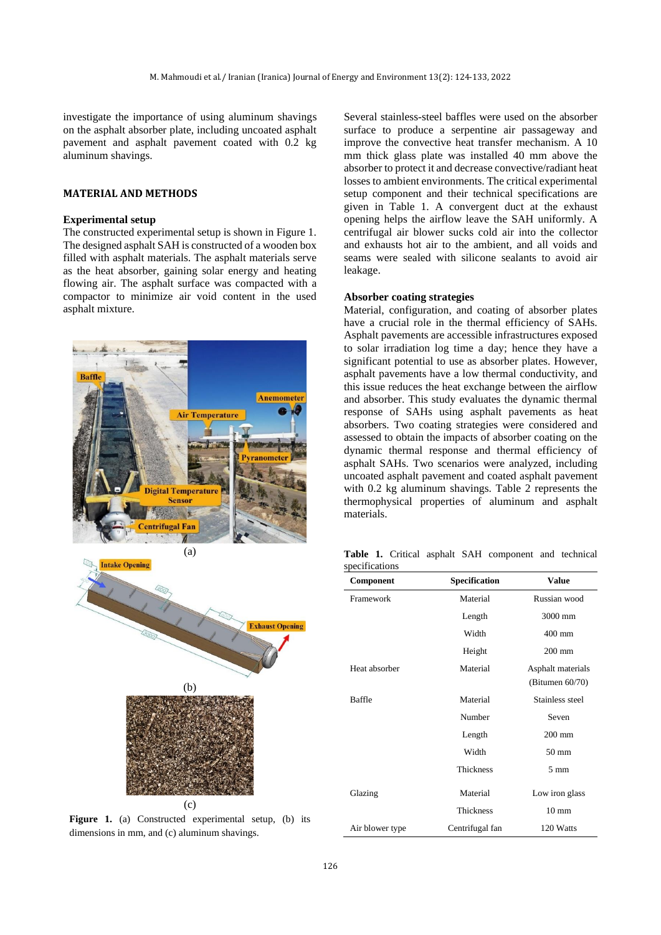investigate the importance of using aluminum shavings on the asphalt absorber plate, including uncoated asphalt pavement and asphalt pavement coated with 0.2 kg aluminum shavings.

## **MATERIAL AND METHODS**

#### **Experimental setup**

The constructed experimental setup is shown in Figure 1. The designed asphalt SAH is constructed of a wooden box filled with asphalt materials. The asphalt materials serve as the heat absorber, gaining solar energy and heating flowing air. The asphalt surface was compacted with a compactor to minimize air void content in the used asphalt mixture.





Figure 1. (a) Constructed experimental setup, (b) its dimensions in mm, and (c) aluminum shavings.

Several stainless-steel baffles were used on the absorber surface to produce a serpentine air passageway and improve the convective heat transfer mechanism. A 10 mm thick glass plate was installed 40 mm above the absorber to protect it and decrease convective/radiant heat losses to ambient environments. The critical experimental setup component and their technical specifications are given in Table 1. A convergent duct at the exhaust opening helps the airflow leave the SAH uniformly. A centrifugal air blower sucks cold air into the collector and exhausts hot air to the ambient, and all voids and seams were sealed with silicone sealants to avoid air leakage.

# **Absorber coating strategies**

Material, configuration, and coating of absorber plates have a crucial role in the thermal efficiency of SAHs. Asphalt pavements are accessible infrastructures exposed to solar irradiation log time a day; hence they have a significant potential to use as absorber plates. However, asphalt pavements have a low thermal conductivity, and this issue reduces the heat exchange between the airflow and absorber. This study evaluates the dynamic thermal response of SAHs using asphalt pavements as heat absorbers. Two coating strategies were considered and assessed to obtain the impacts of absorber coating on the dynamic thermal response and thermal efficiency of asphalt SAHs. Two scenarios were analyzed, including uncoated asphalt pavement and coated asphalt pavement with 0.2 kg aluminum shavings. Table 2 represents the thermophysical properties of aluminum and asphalt materials.

**Table 1.** Critical asphalt SAH component and technical specifications

| Component       | Specification    | <b>Value</b>                            |
|-----------------|------------------|-----------------------------------------|
| Framework       | Material         | Russian wood                            |
|                 | Length           | 3000 mm                                 |
|                 | Width            | $400 \text{ mm}$                        |
|                 | Height           | $200 \text{ mm}$                        |
| Heat absorber   | Material         | Asphalt materials<br>(Bitumen $60/70$ ) |
| <b>Baffle</b>   | Material         | Stainless steel                         |
|                 | Number           | Seven                                   |
|                 | Length           | $200 \text{ mm}$                        |
|                 | Width            | $50 \text{ mm}$                         |
|                 | <b>Thickness</b> | $5 \text{ mm}$                          |
| Glazing         | Material         | Low iron glass                          |
|                 | <b>Thickness</b> | $10 \text{ mm}$                         |
| Air blower type | Centrifugal fan  | 120 Watts                               |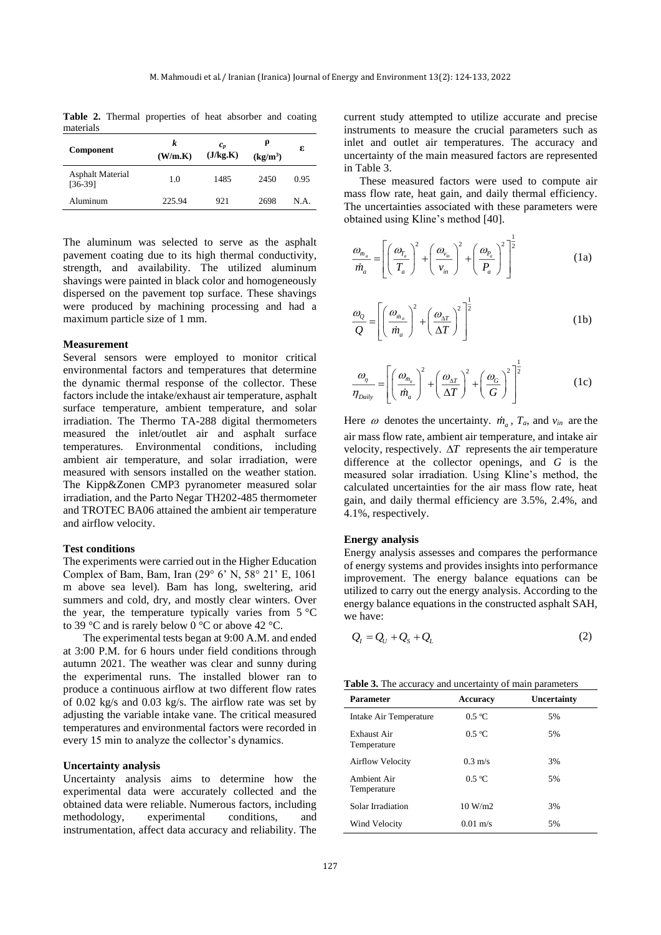**Table 2.** Thermal properties of heat absorber and coating materials

| Component                            | k<br>(W/m.K) | $c_{p}$<br>(J/kg.K) | $(kg/m^3)$ | ε    |
|--------------------------------------|--------------|---------------------|------------|------|
| <b>Asphalt Material</b><br>$[36-39]$ | 1.0          | 1485                | 2450       | 0.95 |
| Aluminum                             | 225.94       | 921                 | 2698       | N.A. |

The aluminum was selected to serve as the asphalt pavement coating due to its high thermal conductivity, strength, and availability. The utilized aluminum shavings were painted in black color and homogeneously dispersed on the pavement top surface. These shavings were produced by machining processing and had a maximum particle size of 1 mm.

#### **Measurement**

Several sensors were employed to monitor critical environmental factors and temperatures that determine the dynamic thermal response of the collector. These factors include the intake/exhaust air temperature, asphalt surface temperature, ambient temperature, and solar irradiation. The Thermo TA-288 digital thermometers measured the inlet/outlet air and asphalt surface temperatures. Environmental conditions, including ambient air temperature, and solar irradiation, were measured with sensors installed on the weather station. The Kipp&Zonen CMP3 pyranometer measured solar irradiation, and the Parto Negar TH202-485 thermometer and TROTEC BA06 attained the ambient air temperature and airflow velocity.

#### **Test conditions**

The experiments were carried out in the Higher Education Complex of Bam, Bam, Iran (29° 6' N, 58° 21' E, 1061 m above sea level). Bam has long, sweltering, arid summers and cold, dry, and mostly clear winters. Over the year, the temperature typically varies from  $5^{\circ}$ C to 39 °C and is rarely below 0 °C or above 42 °C.

The experimental tests began at 9:00 A.M. and ended at 3:00 P.M. for 6 hours under field conditions through autumn 2021. The weather was clear and sunny during the experimental runs. The installed blower ran to produce a continuous airflow at two different flow rates of 0.02 kg/s and 0.03 kg/s. The airflow rate was set by adjusting the variable intake vane. The critical measured temperatures and environmental factors were recorded in every 15 min to analyze the collector's dynamics.

#### **Uncertainty analysis**

Uncertainty analysis aims to determine how the experimental data were accurately collected and the obtained data were reliable. Numerous factors, including methodology, experimental conditions, and instrumentation, affect data accuracy and reliability. The

current study attempted to utilize accurate and precise instruments to measure the crucial parameters such as inlet and outlet air temperatures. The accuracy and uncertainty of the main measured factors are represented in Table 3.

These measured factors were used to compute air mass flow rate, heat gain, and daily thermal efficiency. The uncertainties associated with these parameters were obtained using Kline's method [40].

$$
\frac{\omega_{\dot{m}_a}}{\dot{m}_a} = \left[ \left( \frac{\omega_{r_a}}{T_a} \right)^2 + \left( \frac{\omega_{v_m}}{v_{in}} \right)^2 + \left( \frac{\omega_{p_a}}{P_a} \right)^2 \right]^{\frac{1}{2}}
$$
(1a)

$$
\frac{\omega_Q}{Q} = \left[ \left( \frac{\omega_{m_a}}{\dot{m}_a} \right)^2 + \left( \frac{\omega_{\Delta T}}{\Delta T} \right)^2 \right]^{\frac{1}{2}}
$$
(1b)

$$
\frac{\omega_{\eta}}{\eta_{\text{Daily}}} = \left[ \left( \frac{\omega_{\dot{m}_a}}{\dot{m}_a} \right)^2 + \left( \frac{\omega_{\Lambda T}}{\Delta T} \right)^2 + \left( \frac{\omega_G}{G} \right)^2 \right]^{\frac{1}{2}}
$$
(1c)

Here  $\omega$  denotes the uncertainty.  $\dot{m}_a$ ,  $T_a$ , and  $v_{in}$  are the air mass flow rate, ambient air temperature, and intake air velocity, respectively.  $\Delta T$  represents the air temperature difference at the collector openings, and *G* is the measured solar irradiation. Using Kline's method, the calculated uncertainties for the air mass flow rate, heat gain, and daily thermal efficiency are 3.5%, 2.4%, and 4.1%, respectively.

# **Energy analysis**

Energy analysis assesses and compares the performance of energy systems and provides insights into performance improvement. The energy balance equations can be utilized to carry out the energy analysis. According to the energy balance equations in the constructed asphalt SAH, we have:

$$
Q_{I} = Q_{U} + Q_{S} + Q_{L} \tag{2}
$$

| <b>Table 3.</b> The accuracy and uncertainty of main parameters |  |  |
|-----------------------------------------------------------------|--|--|
|-----------------------------------------------------------------|--|--|

| <b>Parameter</b>           | <b>Accuracy</b>    | Uncertainty |
|----------------------------|--------------------|-------------|
| Intake Air Temperature     | $0.5 \text{ °C}$   | 5%          |
| Exhaust Air<br>Temperature | 0.5 °C             | 5%          |
| <b>Airflow Velocity</b>    | $0.3 \text{ m/s}$  | 3%          |
| Ambient Air<br>Temperature | 0.5 °C             | 5%          |
| Solar Irradiation          | 10 W/m2            | 3%          |
| Wind Velocity              | $0.01 \text{ m/s}$ | 5%          |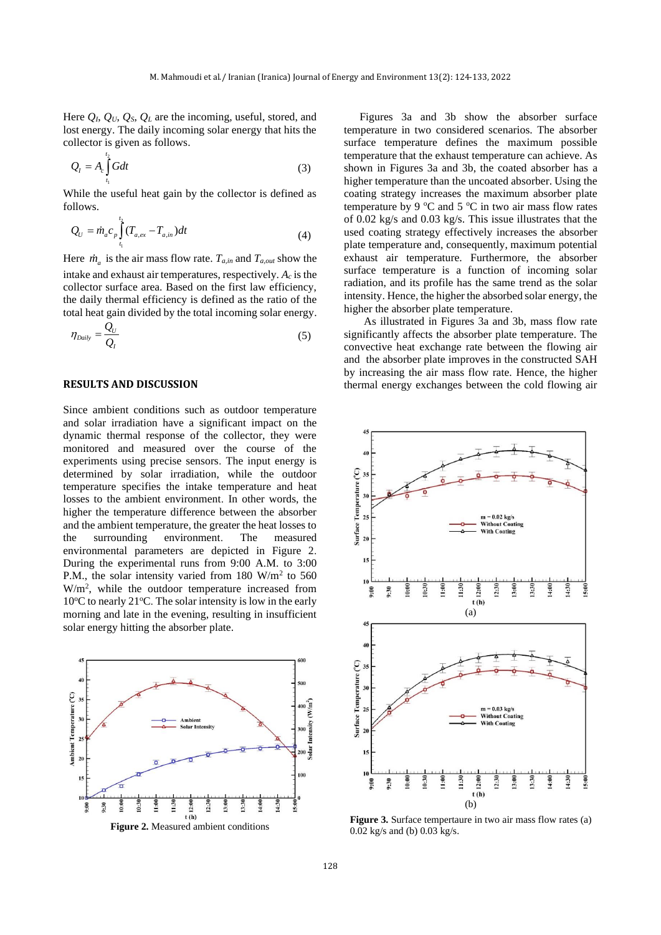Here  $Q_l$ ,  $Q_v$ ,  $Q_s$ ,  $Q_L$  are the incoming, useful, stored, and lost energy. The daily incoming solar energy that hits the collector is given as follows.

$$
Q_l = A_c \int_{t_1}^{t_2} G dt
$$
 (3)

While the useful heat gain by the collector is defined as follows.

$$
Q_U = \dot{m}_a c_p \int_{t_1}^{t_2} (T_{a,ex} - T_{a,in}) dt
$$
 (4)

Here  $\dot{m}_a$  is the air mass flow rate.  $T_{a,in}$  and  $T_{a,out}$  show the intake and exhaust air temperatures, respectively.  $A_c$  is the collector surface area. Based on the first law efficiency, the daily thermal efficiency is defined as the ratio of the total heat gain divided by the total incoming solar energy.

$$
\eta_{\text{Daily}} = \frac{Q_U}{Q_I} \tag{5}
$$

## **RESULTS AND DISCUSSION**

Since ambient conditions such as outdoor temperature and solar irradiation have a significant impact on the dynamic thermal response of the collector, they were monitored and measured over the course of the experiments using precise sensors. The input energy is determined by solar irradiation, while the outdoor temperature specifies the intake temperature and heat losses to the ambient environment. In other words, the higher the temperature difference between the absorber and the ambient temperature, the greater the heat losses to the surrounding environment. The measured environmental parameters are depicted in Figure 2. During the experimental runs from 9:00 A.M. to 3:00 P.M., the solar intensity varied from 180  $W/m^2$  to 560 W/m<sup>2</sup> , while the outdoor temperature increased from  $10^{\circ}$ C to nearly 21 $^{\circ}$ C. The solar intensity is low in the early morning and late in the evening, resulting in insufficient solar energy hitting the absorber plate.



**Figure 2.** Measured ambient conditions

Figures 3a and 3b show the absorber surface temperature in two considered scenarios. The absorber surface temperature defines the maximum possible temperature that the exhaust temperature can achieve. As shown in Figures 3a and 3b, the coated absorber has a higher temperature than the uncoated absorber. Using the coating strategy increases the maximum absorber plate temperature by 9  $\degree$ C and 5  $\degree$ C in two air mass flow rates of 0.02 kg/s and 0.03 kg/s. This issue illustrates that the used coating strategy effectively increases the absorber plate temperature and, consequently, maximum potential exhaust air temperature. Furthermore, the absorber surface temperature is a function of incoming solar radiation, and its profile has the same trend as the solar intensity. Hence, the higher the absorbed solar energy, the higher the absorber plate temperature.

As illustrated in Figures 3a and 3b, mass flow rate significantly affects the absorber plate temperature. The convective heat exchange rate between the flowing air and the absorber plate improves in the constructed SAH by increasing the air mass flow rate. Hence, the higher thermal energy exchanges between the cold flowing air



**Figure 3.** Surface tempertaure in two air mass flow rates (a) 0.02 kg/s and (b) 0.03 kg/s.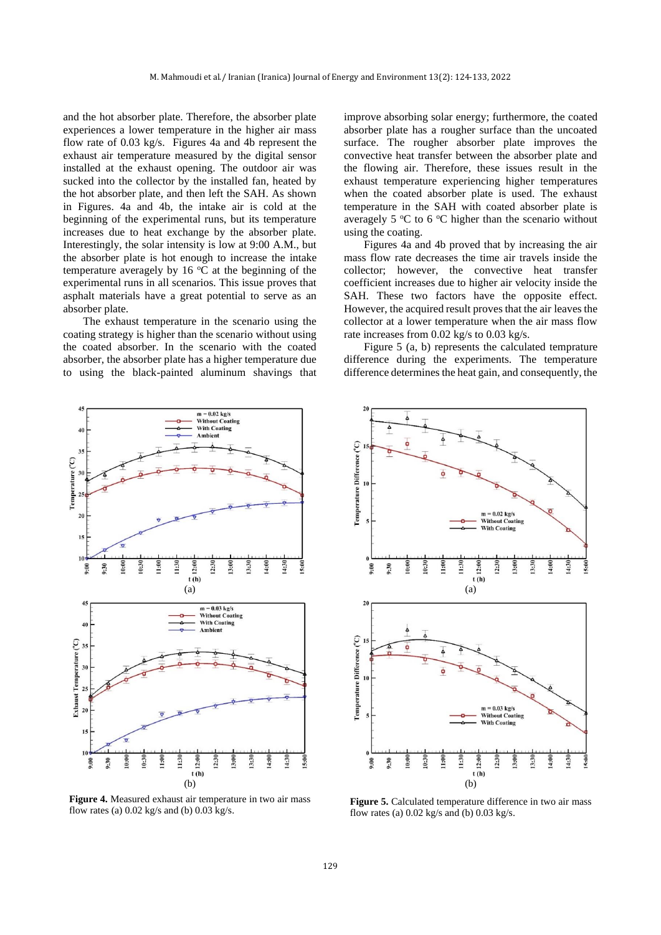and the hot absorber plate. Therefore, the absorber plate experiences a lower temperature in the higher air mass flow rate of 0.03 kg/s. Figures 4a and 4b represent the exhaust air temperature measured by the digital sensor installed at the exhaust opening. The outdoor air was sucked into the collector by the installed fan, heated by the hot absorber plate, and then left the SAH. As shown in Figures. 4a and 4b, the intake air is cold at the beginning of the experimental runs, but its temperature increases due to heat exchange by the absorber plate. Interestingly, the solar intensity is low at 9:00 A.M., but the absorber plate is hot enough to increase the intake temperature averagely by 16  $\degree$ C at the beginning of the experimental runs in all scenarios. This issue proves that asphalt materials have a great potential to serve as an absorber plate.

The exhaust temperature in the scenario using the coating strategy is higher than the scenario without using the coated absorber. In the scenario with the coated absorber, the absorber plate has a higher temperature due to using the black-painted aluminum shavings that



**Figure 4.** Measured exhaust air temperature in two air mass flow rates (a) 0.02 kg/s and (b) 0.03 kg/s.

improve absorbing solar energy; furthermore, the coated absorber plate has a rougher surface than the uncoated surface. The rougher absorber plate improves the convective heat transfer between the absorber plate and the flowing air. Therefore, these issues result in the exhaust temperature experiencing higher temperatures when the coated absorber plate is used. The exhaust temperature in the SAH with coated absorber plate is averagely 5  $\mathrm{C}$  to 6  $\mathrm{C}$  higher than the scenario without using the coating.

Figures 4a and 4b proved that by increasing the air mass flow rate decreases the time air travels inside the collector; however, the convective heat transfer coefficient increases due to higher air velocity inside the SAH. These two factors have the opposite effect. However, the acquired result proves that the air leaves the collector at a lower temperature when the air mass flow rate increases from 0.02 kg/s to 0.03 kg/s.

Figure 5 (a, b) represents the calculated temprature difference during the experiments. The temperature difference determines the heat gain, and consequently, the



**Figure 5.** Calculated temperature difference in two air mass flow rates (a)  $0.02$  kg/s and (b)  $0.03$  kg/s.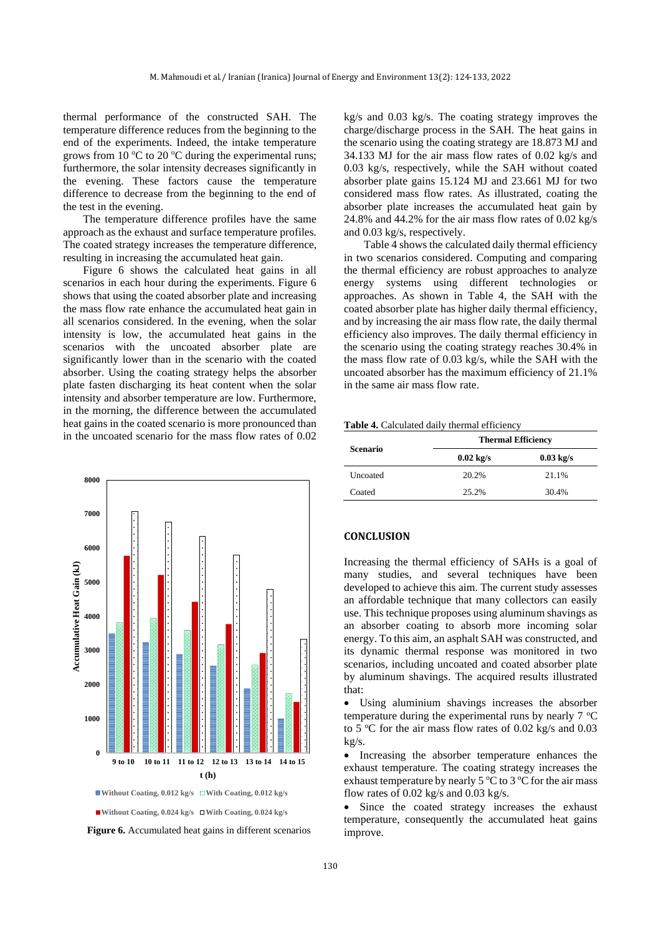thermal performance of the constructed SAH. The temperature difference reduces from the beginning to the end of the experiments. Indeed, the intake temperature grows from 10  $\degree$ C to 20  $\degree$ C during the experimental runs; furthermore, the solar intensity decreases significantly in the evening. These factors cause the temperature difference to decrease from the beginning to the end of the test in the evening.

The temperature difference profiles have the same approach as the exhaust and surface temperature profiles. The coated strategy increases the temperature difference, resulting in increasing the accumulated heat gain.

Figure 6 shows the calculated heat gains in all scenarios in each hour during the experiments. Figure 6 shows that using the coated absorber plate and increasing the mass flow rate enhance the accumulated heat gain in all scenarios considered. In the evening, when the solar intensity is low, the accumulated heat gains in the scenarios with the uncoated absorber plate are significantly lower than in the scenario with the coated absorber. Using the coating strategy helps the absorber plate fasten discharging its heat content when the solar intensity and absorber temperature are low. Furthermore, in the morning, the difference between the accumulated heat gains in the coated scenario is more pronounced than in the uncoated scenario for the mass flow rates of 0.02



■Without Coating, 0.024 kg/s **□With Coating, 0.024 kg/s** 

**Figure 6.** Accumulated heat gains in different scenarios

kg/s and 0.03 kg/s. The coating strategy improves the charge/discharge process in the SAH. The heat gains in the scenario using the coating strategy are 18.873 MJ and 34.133 MJ for the air mass flow rates of 0.02 kg/s and 0.03 kg/s, respectively, while the SAH without coated absorber plate gains 15.124 MJ and 23.661 MJ for two considered mass flow rates. As illustrated, coating the absorber plate increases the accumulated heat gain by 24.8% and 44.2% for the air mass flow rates of 0.02 kg/s and 0.03 kg/s, respectively.

Table 4 shows the calculated daily thermal efficiency in two scenarios considered. Computing and comparing the thermal efficiency are robust approaches to analyze energy systems using different technologies or approaches. As shown in Table 4, the SAH with the coated absorber plate has higher daily thermal efficiency, and by increasing the air mass flow rate, the daily thermal efficiency also improves. The daily thermal efficiency in the scenario using the coating strategy reaches 30.4% in the mass flow rate of 0.03 kg/s, while the SAH with the uncoated absorber has the maximum efficiency of 21.1% in the same air mass flow rate.

| Table 4. Calculated daily thermal efficiency |  |  |
|----------------------------------------------|--|--|
|                                              |  |  |

|                 | <b>Thermal Efficiency</b> |             |  |
|-----------------|---------------------------|-------------|--|
| <b>Scenario</b> | $0.02$ kg/s               | $0.03$ kg/s |  |
| Uncoated        | 20.2%                     | 21.1%       |  |
| Coated          | 25.2%                     | 30.4%       |  |

# **CONCLUSION**

Increasing the thermal efficiency of SAHs is a goal of many studies, and several techniques have been developed to achieve this aim. The current study assesses an affordable technique that many collectors can easily use. This technique proposes using aluminum shavings as an absorber coating to absorb more incoming solar energy. To this aim, an asphalt SAH was constructed, and its dynamic thermal response was monitored in two scenarios, including uncoated and coated absorber plate by aluminum shavings. The acquired results illustrated that:

• Using aluminium shavings increases the absorber temperature during the experimental runs by nearly  $7^{\circ}$ C to 5  $\degree$ C for the air mass flow rates of 0.02 kg/s and 0.03 kg/s.

• Increasing the absorber temperature enhances the exhaust temperature. The coating strategy increases the exhaust temperature by nearly  $5^{\circ}$ C to  $3^{\circ}$ C for the air mass flow rates of 0.02 kg/s and 0.03 kg/s.

• Since the coated strategy increases the exhaust temperature, consequently the accumulated heat gains improve.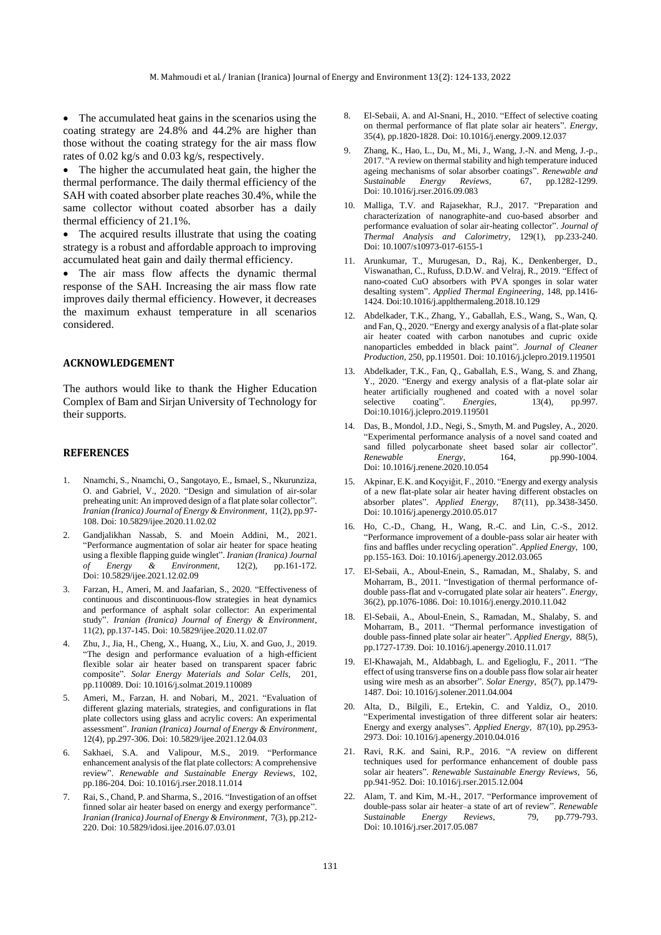• The accumulated heat gains in the scenarios using the coating strategy are 24.8% and 44.2% are higher than those without the coating strategy for the air mass flow rates of 0.02 kg/s and 0.03 kg/s, respectively.

• The higher the accumulated heat gain, the higher the thermal performance. The daily thermal efficiency of the SAH with coated absorber plate reaches 30.4%, while the same collector without coated absorber has a daily thermal efficiency of 21.1%.

The acquired results illustrate that using the coating strategy is a robust and affordable approach to improving accumulated heat gain and daily thermal efficiency.

• The air mass flow affects the dynamic thermal response of the SAH. Increasing the air mass flow rate improves daily thermal efficiency. However, it decreases the maximum exhaust temperature in all scenarios considered.

#### **ACKNOWLEDGEMENT**

The authors would like to thank the Higher Education Complex of Bam and Sirjan University of Technology for their supports.

#### **REFERENCES**

- 1. Nnamchi, S., Nnamchi, O., Sangotayo, E., Ismael, S., Nkurunziza, O. and Gabriel, V., 2020. "Design and simulation of air-solar preheating unit: An improved design of a flat plate solar collector". *Iranian (Iranica) Journal of Energy & Environment*, 11(2), pp.97- 108. Doi: 10.5829/ijee.2020.11.02.02
- 2. Gandjalikhan Nassab, S. and Moein Addini, M., 2021. "Performance augmentation of solar air heater for space heating using a flexible flapping guide winglet". *Iranian (Iranica) Journal of Energy & Environment*, 12(2), pp.161-172. Doi: 10.5829/ijee.2021.12.02.09
- 3. Farzan, H., Ameri, M. and Jaafarian, S., 2020. "Effectiveness of continuous and discontinuous-flow strategies in heat dynamics and performance of asphalt solar collector: An experimental study". *Iranian (Iranica) Journal of Energy & Environment*, 11(2), pp.137-145. Doi: 10.5829/ijee.2020.11.02.07
- 4. Zhu, J., Jia, H., Cheng, X., Huang, X., Liu, X. and Guo, J., 2019. "The design and performance evaluation of a high-efficient flexible solar air heater based on transparent spacer fabric composite". *Solar Energy Materials and Solar Cells*, 201, pp.110089. [Doi: 10.1016/j.solmat.2019.110089](https://doi.org/10.1016/j.solmat.2019.110089)
- 5. Ameri, M., Farzan, H. and Nobari, M., 2021. "Evaluation of different glazing materials, strategies, and configurations in flat plate collectors using glass and acrylic covers: An experimental assessment". *Iranian (Iranica) Journal of Energy & Environment*, 12(4), pp.297-306. Doi: 10.5829/ijee.2021.12.04.03
- 6. Sakhaei, S.A. and Valipour, M.S., 2019. "Performance enhancement analysis of the flat plate collectors: A comprehensive review". *Renewable and Sustainable Energy Reviews*, 102, pp.186-204[. Doi: 10.1016/j.rser.2018.11.014](https://doi.org/10.1016/j.rser.2018.11.014)
- 7. Rai, S., Chand, P. and Sharma, S., 2016. "Investigation of an offset finned solar air heater based on energy and exergy performance". *Iranian (Iranica) Journal of Energy & Environment*, 7(3), pp.212- 220. Doi: 10.5829/idosi.ijee.2016.07.03.01
- 8. El-Sebaii, A. and Al-Snani, H., 2010. "Effect of selective coating on thermal performance of flat plate solar air heaters". *Energy*, 35(4), pp.1820-1828[. Doi: 10.1016/j.energy.2009.12.037](https://doi.org/10.1016/j.energy.2009.12.037)
- 9. Zhang, K., Hao, L., Du, M., Mi, J., Wang, J.-N. and Meng, J.-p., 2017. "A review on thermal stability and high temperature induced ageing mechanisms of solar absorber coatings". *Renewable and Sustainable Energy Reviews*, 67, pp.1282-1299. [Doi: 10.1016/j.rser.2016.09.083](https://doi.org/10.1016/j.rser.2016.09.083)
- 10. Malliga, T.V. and Rajasekhar, R.J., 2017. "Preparation and characterization of nanographite-and cuo-based absorber and performance evaluation of solar air-heating collector". *Journal of Thermal Analysis and Calorimetry*, 129(1), pp.233-240. Doi: 10.1007/s10973-017-6155-1
- 11. Arunkumar, T., Murugesan, D., Raj, K., Denkenberger, D., Viswanathan, C., Rufuss, D.D.W. and Velraj, R., 2019. "Effect of nano-coated CuO absorbers with PVA sponges in solar water desalting system". *Applied Thermal Engineering*, 148, pp.1416- 1424. [Doi:10.1016/j.applthermaleng.2018.10.129](https://doi.org/10.1016/j.applthermaleng.2018.10.129)
- 12. Abdelkader, T.K., Zhang, Y., Gaballah, E.S., Wang, S., Wan, Q. and Fan, Q., 2020. "Energy and exergy analysis of a flat-plate solar air heater coated with carbon nanotubes and cupric oxide nanoparticles embedded in black paint". *Journal of Cleaner Production*, 250, pp.119501[. Doi: 10.1016/j.jclepro.2019.119501](https://doi.org/10.1016/j.jclepro.2019.119501)
- 13. Abdelkader, T.K., Fan, Q., Gaballah, E.S., Wang, S. and Zhang, Y., 2020. "Energy and exergy analysis of a flat-plate solar air heater artificially roughened and coated with a novel solar selective coating". *Energies*, 13(4), pp.997. selective coating". *Energies*, 13(4), [Doi:10.1016/j.jclepro.2019.119501](https://doi.org/10.1016/j.jclepro.2019.119501)
- 14. Das, B., Mondol, J.D., Negi, S., Smyth, M. and Pugsley, A., 2020. "Experimental performance analysis of a novel sand coated and sand filled polycarbonate sheet based solar air collector". *Renewable Energy*, 164, pp.990-1004. [Doi: 10.1016/j.renene.2020.10.054](https://doi.org/10.1016/j.renene.2020.10.054)
- 15. Akpinar, E.K. and Koçyiğit, F., 2010. "Energy and exergy analysis of a new flat-plate solar air heater having different obstacles on absorber plates". *Applied Energy*, 87(11), pp.3438-3450. [Doi: 10.1016/j.apenergy.2010.05.017](https://doi.org/10.1016/j.apenergy.2010.05.017)
- 16. Ho, C.-D., Chang, H., Wang, R.-C. and Lin, C.-S., 2012. "Performance improvement of a double-pass solar air heater with fins and baffles under recycling operation". *Applied Energy*, 100, pp.155-163[. Doi: 10.1016/j.apenergy.2012.03.065](https://doi.org/10.1016/j.apenergy.2012.03.065)
- 17. El-Sebaii, A., Aboul-Enein, S., Ramadan, M., Shalaby, S. and Moharram, B., 2011. "Investigation of thermal performance ofdouble pass-flat and v-corrugated plate solar air heaters". *Energy*, 36(2), pp.1076-1086[. Doi: 10.1016/j.energy.2010.11.042](https://doi.org/10.1016/j.energy.2010.11.042)
- 18. El-Sebaii, A., Aboul-Enein, S., Ramadan, M., Shalaby, S. and Moharram, B., 2011. "Thermal performance investigation of double pass-finned plate solar air heater". *Applied Energy*, 88(5), pp.1727-1739[. Doi: 10.1016/j.apenergy.2010.11.017](https://doi.org/10.1016/j.apenergy.2010.11.017)
- 19. El-Khawajah, M., Aldabbagh, L. and Egelioglu, F., 2011. "The effect of using transverse fins on a double pass flow solar air heater using wire mesh as an absorber". *Solar Energy*, 85(7), pp.1479- 1487. [Doi: 10.1016/j.solener.2011.04.004](https://doi.org/10.1016/j.solener.2011.04.004)
- 20. Alta, D., Bilgili, E., Ertekin, C. and Yaldiz, O., 2010. "Experimental investigation of three different solar air heaters: Energy and exergy analyses". *Applied Energy*, 87(10), pp.2953- 2973. [Doi: 10.1016/j.apenergy.2010.04.016](https://doi.org/10.1016/j.apenergy.2010.04.016)
- 21. Ravi, R.K. and Saini, R.P., 2016. "A review on different techniques used for performance enhancement of double pass solar air heaters". *Renewable Sustainable Energy Reviews*, 56, pp.941-952[. Doi: 10.1016/j.rser.2015.12.004](https://doi.org/10.1016/j.rser.2015.12.004)
- 22. Alam, T. and Kim, M.-H., 2017. "Performance improvement of double-pass solar air heater–a state of art of review". *Renewable Sustainable Energy Reviews*, 79, pp.779-793. [Doi: 10.1016/j.rser.2017.05.087](https://doi.org/10.1016/j.rser.2017.05.087)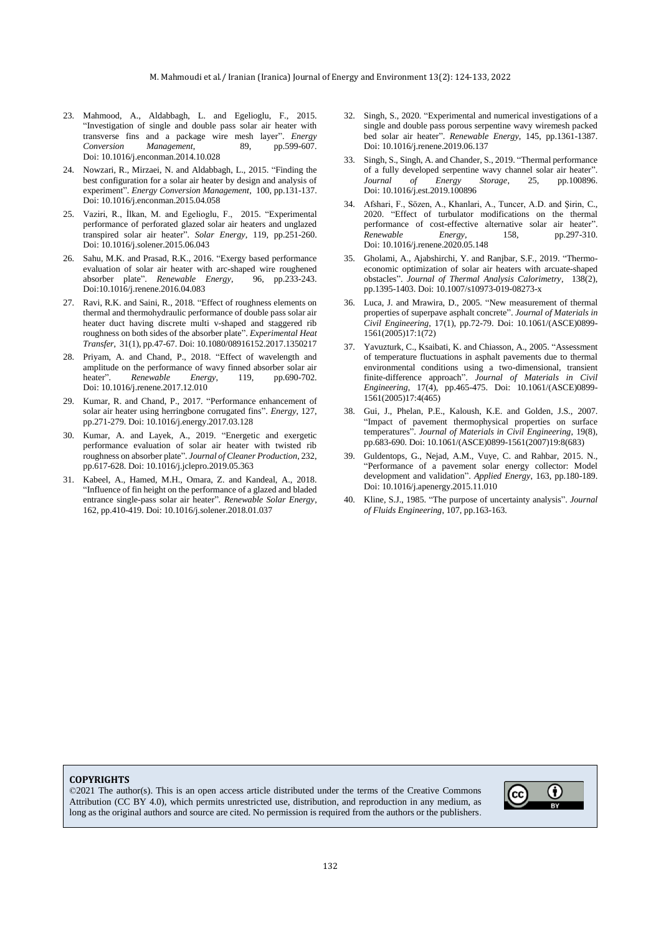- 23. Mahmood, A., Aldabbagh, L. and Egelioglu, F., 2015. "Investigation of single and double pass solar air heater with transverse fins and a package wire mesh layer". *Energy Conversion Management*, 89, [Doi: 10.1016/j.enconman.2014.10.028](https://doi.org/10.1016/j.enconman.2014.10.028)
- 24. Nowzari, R., Mirzaei, N. and Aldabbagh, L., 2015. "Finding the best configuration for a solar air heater by design and analysis of experiment". *Energy Conversion Management*, 100, pp.131-137. [Doi: 10.1016/j.enconman.2015.04.058](https://doi.org/10.1016/j.enconman.2015.04.058)
- 25. Vaziri, R., İlkan, M. and Egelioglu, F., 2015. "Experimental performance of perforated glazed solar air heaters and unglazed transpired solar air heater". *Solar Energy*, 119, pp.251-260. [Doi: 10.1016/j.solener.2015.06.043](https://doi.org/10.1016/j.solener.2015.06.043)
- 26. Sahu, M.K. and Prasad, R.K., 2016. "Exergy based performance evaluation of solar air heater with arc-shaped wire roughened absorber plate". *Renewable Energy*, 96, pp.233-243. [Doi:10.1016/j.renene.2016.04.083](https://doi.org/10.1016/j.renene.2016.04.083)
- 27. Ravi, R.K. and Saini, R., 2018. "Effect of roughness elements on thermal and thermohydraulic performance of double pass solar air heater duct having discrete multi v-shaped and staggered rib roughness on both sides of the absorber plate". *Experimental Heat Transfer*, 31(1), pp.47-67[. Doi: 10.1080/08916152.2017.1350217](https://doi.org/10.1080/08916152.2017.1350217)
- 28. Priyam, A. and Chand, P., 2018. "Effect of wavelength and amplitude on the performance of wavy finned absorber solar air<br>heater". Renewable Energy, 119, pp.690-702. heater". *Renewable Energy*, 119, pp.690-702. [Doi: 10.1016/j.renene.2017.12.010](https://doi.org/10.1016/j.renene.2017.12.010)
- 29. Kumar, R. and Chand, P., 2017. "Performance enhancement of solar air heater using herringbone corrugated fins". *Energy*, 127, pp.271-279[. Doi: 10.1016/j.energy.2017.03.128](https://doi.org/10.1016/j.energy.2017.03.128)
- 30. Kumar, A. and Layek, A., 2019. "Energetic and exergetic performance evaluation of solar air heater with twisted rib roughness on absorber plate". *Journal of Cleaner Production*, 232, pp.617-628[. Doi: 10.1016/j.jclepro.2019.05.363](https://doi.org/10.1016/j.jclepro.2019.05.363)
- 31. Kabeel, A., Hamed, M.H., Omara, Z. and Kandeal, A., 2018. "Influence of fin height on the performance of a glazed and bladed entrance single-pass solar air heater". *Renewable Solar Energy*, 162, pp.410-419[. Doi: 10.1016/j.solener.2018.01.037](https://doi.org/10.1016/j.solener.2018.01.037)
- 32. Singh, S., 2020. "Experimental and numerical investigations of a single and double pass porous serpentine wavy wiremesh packed bed solar air heater". *Renewable Energy*, 145, pp.1361-1387. [Doi: 10.1016/j.renene.2019.06.137](https://doi.org/10.1016/j.renene.2019.06.137)
- 33. Singh, S., Singh, A. and Chander, S., 2019. "Thermal performance of a fully developed serpentine wavy channel solar air heater". *Journal of Energy Storage*, 25, pp.100896. [Doi: 10.1016/j.est.2019.100896](https://doi.org/10.1016/j.est.2019.100896)
- 34. Afshari, F., Sözen, A., Khanlari, A., Tuncer, A.D. and Şirin, C., 2020. "Effect of turbulator modifications on the thermal performance of cost-effective alternative solar air heater". *Renewable Energy*, 158, pp.297-310. [Doi: 10.1016/j.renene.2020.05.148](https://doi.org/10.1016/j.renene.2020.05.148)
- 35. Gholami, A., Ajabshirchi, Y. and Ranjbar, S.F., 2019. "Thermoeconomic optimization of solar air heaters with arcuate-shaped obstacles". *Journal of Thermal Analysis Calorimetry*, 138(2), pp.1395-1403. Doi: 10.1007/s10973-019-08273-x
- 36. Luca, J. and Mrawira, D., 2005. "New measurement of thermal properties of superpave asphalt concrete". *Journal of Materials in Civil Engineering*, 17(1), pp.72-79. [Doi: 10.1061/\(ASCE\)0899-](https://doi.org/10.1061/(ASCE)0899-1561(2005)17:1(72)) [1561\(2005\)17:1\(72\)](https://doi.org/10.1061/(ASCE)0899-1561(2005)17:1(72))
- 37. Yavuzturk, C., Ksaibati, K. and Chiasson, A., 2005. "Assessment of temperature fluctuations in asphalt pavements due to thermal environmental conditions using a two-dimensional, transient finite-difference approach". *Journal of Materials in Civil Engineering*, 17(4), pp.465-475. [Doi: 10.1061/\(ASCE\)0899-](https://doi.org/10.1061/(ASCE)0899-1561(2005)17:4(465)) [1561\(2005\)17:4\(465\)](https://doi.org/10.1061/(ASCE)0899-1561(2005)17:4(465))
- 38. Gui, J., Phelan, P.E., Kaloush, K.E. and Golden, J.S., 2007. "Impact of pavement thermophysical properties on surface temperatures". *Journal of Materials in Civil Engineering*, 19(8), pp.683-690[. Doi: 10.1061/\(ASCE\)0899-1561\(2007\)19:8\(683\)](https://doi.org/10.1061/(ASCE)0899-1561(2007)19:8(683))
- 39. Guldentops, G., Nejad, A.M., Vuye, C. and Rahbar, 2015. N., "Performance of a pavement solar energy collector: Model development and validation". *Applied Energy*, 163, pp.180-189. [Doi: 10.1016/j.apenergy.2015.11.010](https://doi.org/10.1016/j.apenergy.2015.11.010)
- 40. Kline, S.J., 1985. "The purpose of uncertainty analysis". *Journal of Fluids Engineering*, 107, pp.163-163.

#### **COPYRIGHTS**

©2021 The author(s). This is an open access article distributed under the terms of the Creative Commons Attribution (CC BY 4.0), which permits unrestricted use, distribution, and reproduction in any medium, as long as the original authors and source are cited. No permission is required from the authors or the publishers.